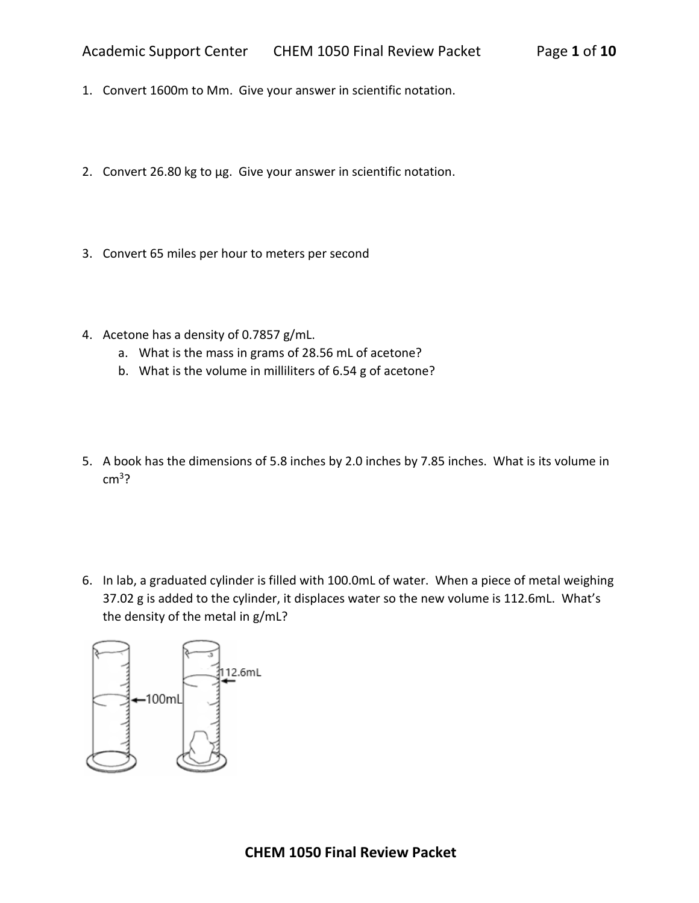- 1. Convert 1600m to Mm. Give your answer in scientific notation.
- 2. Convert 26.80 kg to µg. Give your answer in scientific notation.
- 3. Convert 65 miles per hour to meters per second
- 4. Acetone has a density of 0.7857 g/mL.
	- a. What is the mass in grams of 28.56 mL of acetone?
	- b. What is the volume in milliliters of 6.54 g of acetone?
- 5. A book has the dimensions of 5.8 inches by 2.0 inches by 7.85 inches. What is its volume in  $cm<sup>3</sup>$
- 6. In lab, a graduated cylinder is filled with 100.0mL of water. When a piece of metal weighing 37.02 g is added to the cylinder, it displaces water so the new volume is 112.6mL. What's the density of the metal in g/mL?

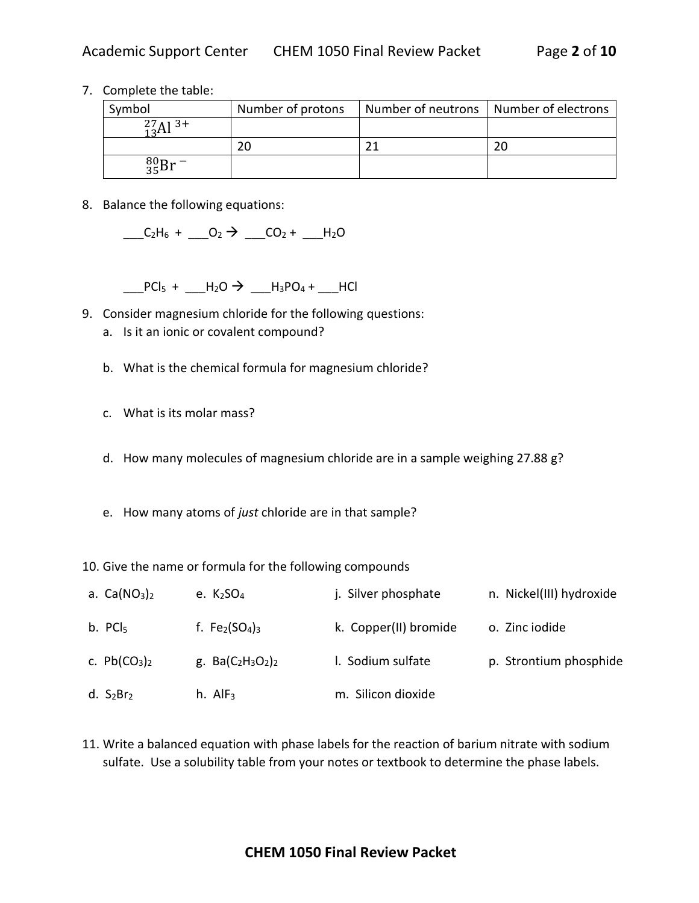7. Complete the table:

| Symbol            | Number of protons | Number of neutrons   Number of electrons |  |
|-------------------|-------------------|------------------------------------------|--|
| $^{27}_{13}Al$ 3+ |                   |                                          |  |
|                   | 20                |                                          |  |
| $^{80}_{35}Br$ -  |                   |                                          |  |

8. Balance the following equations:

 $C_2H_6 + O_2 \rightarrow CO_2 + H_2O$ 

 $\frac{1}{2}$ PCl<sub>5</sub> +  $\frac{1}{2}$ H<sub>2</sub>O  $\rightarrow$   $\frac{1}{2}$ H<sub>3</sub>PO<sub>4</sub> +  $\frac{1}{2}$ HCl

- 9. Consider magnesium chloride for the following questions:
	- a. Is it an ionic or covalent compound?
	- b. What is the chemical formula for magnesium chloride?
	- c. What is its molar mass?
	- d. How many molecules of magnesium chloride are in a sample weighing 27.88 g?
	- e. How many atoms of *just* chloride are in that sample?
- 10. Give the name or formula for the following compounds

| a. $Ca(NO3)2$       | e. $K2SO4$           | j. Silver phosphate   | n. Nickel(III) hydroxide |
|---------------------|----------------------|-----------------------|--------------------------|
| b. PCI <sub>5</sub> | f. $Fe2(SO4)3$       | k. Copper(II) bromide | o. Zinc iodide           |
| c. $Pb(CO_3)_2$     | g. $Ba(C_2H_3O_2)_2$ | I. Sodium sulfate     | p. Strontium phosphide   |
| d. $S_2Br_2$        | h. $AlF3$            | m. Silicon dioxide    |                          |

11. Write a balanced equation with phase labels for the reaction of barium nitrate with sodium sulfate. Use a solubility table from your notes or textbook to determine the phase labels.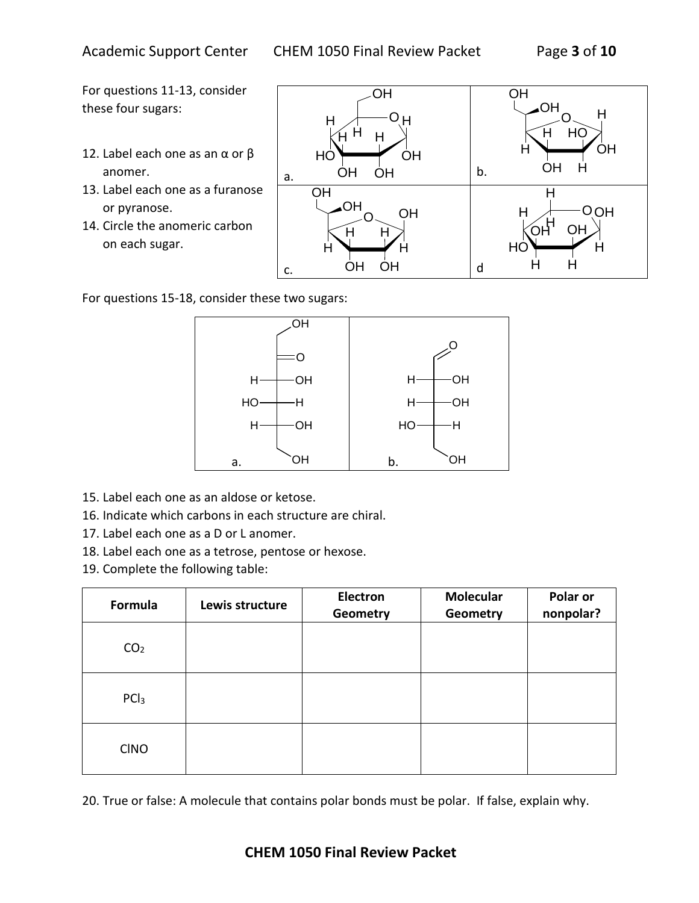For questions 11-13, consider these four sugars:

- 12. Label each one as an  $\alpha$  or  $\beta$ anomer.
- 13. Label each one as a furanose or pyranose.
- 14. Circle the anomeric carbon on each sugar.



For questions 15-18, consider these two sugars:



- 15. Label each one as an aldose or ketose.
- 16. Indicate which carbons in each structure are chiral.
- 17. Label each one as a D or L anomer.
- 18. Label each one as a tetrose, pentose or hexose.
- 19. Complete the following table:

| Formula          | Lewis structure | <b>Electron</b><br>Geometry | <b>Molecular</b><br>Geometry | Polar or<br>nonpolar? |
|------------------|-----------------|-----------------------------|------------------------------|-----------------------|
| CO <sub>2</sub>  |                 |                             |                              |                       |
| PCl <sub>3</sub> |                 |                             |                              |                       |
| <b>CINO</b>      |                 |                             |                              |                       |

20. True or false: A molecule that contains polar bonds must be polar. If false, explain why.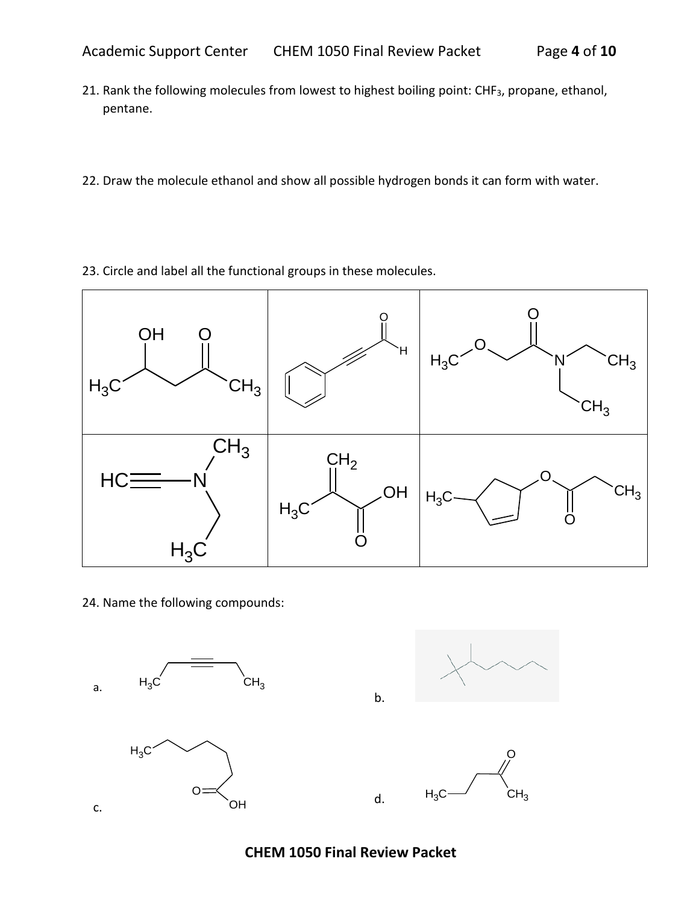- 21. Rank the following molecules from lowest to highest boiling point: CHF<sub>3</sub>, propane, ethanol, pentane.
- 22. Draw the molecule ethanol and show all possible hydrogen bonds it can form with water.
- 23. Circle and label all the functional groups in these molecules.



24. Name the following compounds:





**CHEM 1050 Final Review Packet**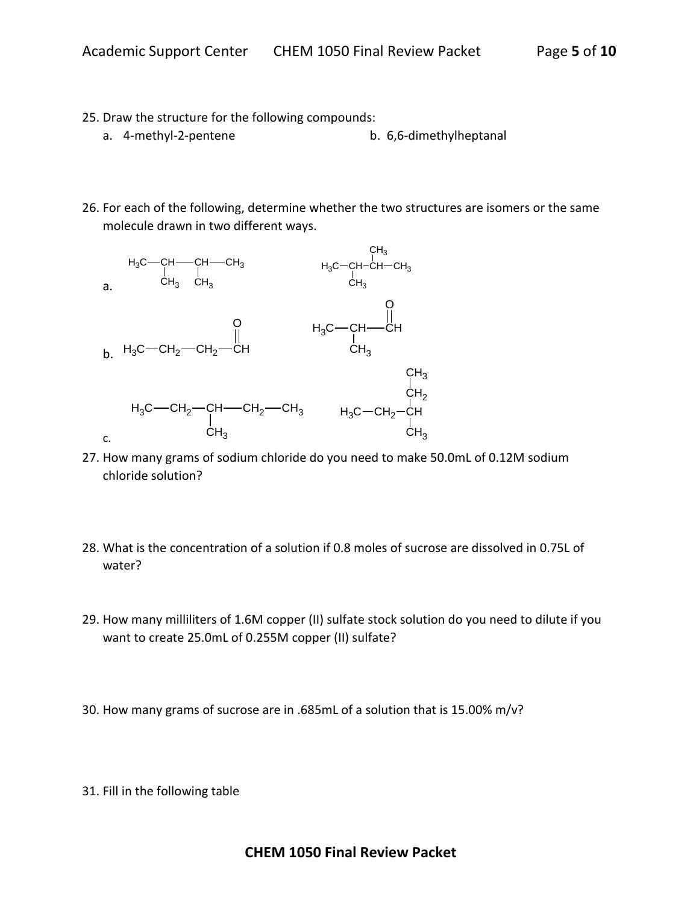- 25. Draw the structure for the following compounds:
	- a. 4-methyl-2-pentene b. 6,6-dimethylheptanal
- 26. For each of the following, determine whether the two structures are isomers or the same molecule drawn in two different ways.



- 27. How many grams of sodium chloride do you need to make 50.0mL of 0.12M sodium chloride solution?
- 28. What is the concentration of a solution if 0.8 moles of sucrose are dissolved in 0.75L of water?
- 29. How many milliliters of 1.6M copper (II) sulfate stock solution do you need to dilute if you want to create 25.0mL of 0.255M copper (II) sulfate?
- 30. How many grams of sucrose are in .685mL of a solution that is 15.00% m/v?
- 31. Fill in the following table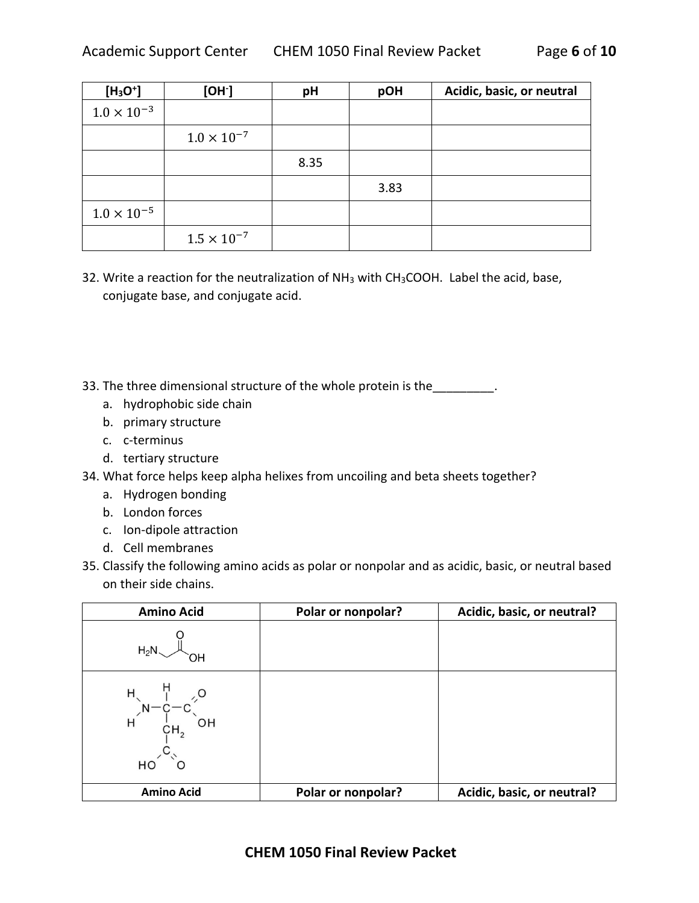| $[H3O+]$             | [OH]                 | pH   | pOH  | Acidic, basic, or neutral |
|----------------------|----------------------|------|------|---------------------------|
| $1.0 \times 10^{-3}$ |                      |      |      |                           |
|                      | $1.0 \times 10^{-7}$ |      |      |                           |
|                      |                      | 8.35 |      |                           |
|                      |                      |      | 3.83 |                           |
| $1.0 \times 10^{-5}$ |                      |      |      |                           |
|                      | $1.5 \times 10^{-7}$ |      |      |                           |

32. Write a reaction for the neutralization of NH<sub>3</sub> with CH<sub>3</sub>COOH. Label the acid, base, conjugate base, and conjugate acid.

33. The three dimensional structure of the whole protein is the \_\_\_\_\_\_\_\_\_\_.

- a. hydrophobic side chain
- b. primary structure
- c. c-terminus
- d. tertiary structure
- 34. What force helps keep alpha helixes from uncoiling and beta sheets together?
	- a. Hydrogen bonding
	- b. London forces
	- c. Ion-dipole attraction
	- d. Cell membranes
- 35. Classify the following amino acids as polar or nonpolar and as acidic, basic, or neutral based on their side chains.

| <b>Amino Acid</b>                         | Polar or nonpolar? | Acidic, basic, or neutral? |
|-------------------------------------------|--------------------|----------------------------|
| $H_2N$                                    |                    |                            |
| $H^{\prime}$ $H$<br>CH <sub>2</sub><br>НC |                    |                            |
| <b>Amino Acid</b>                         | Polar or nonpolar? | Acidic, basic, or neutral? |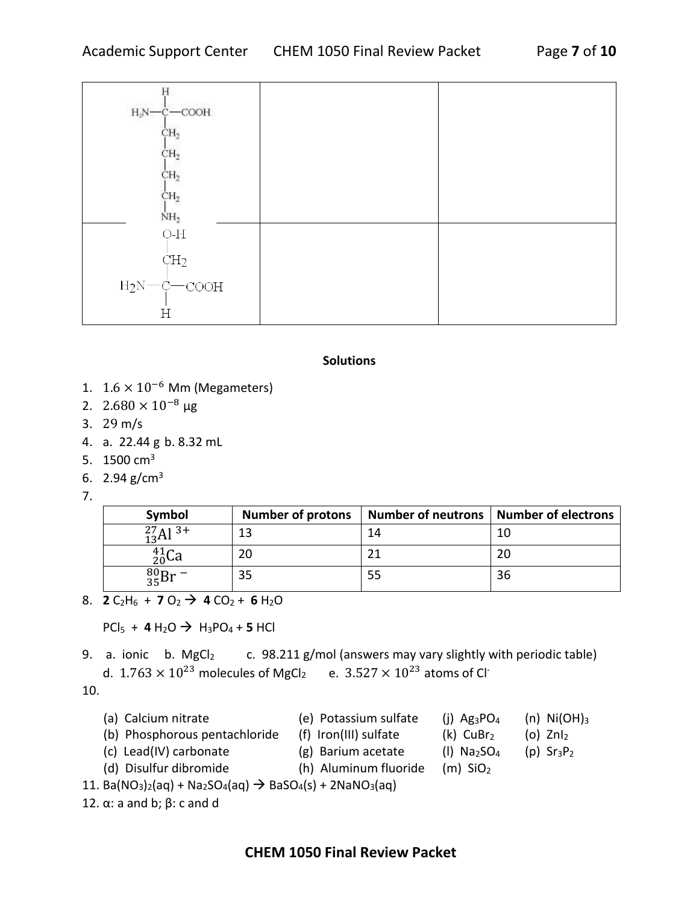| $H_2N$ - $C$ - $COOH$          |  |
|--------------------------------|--|
| CH <sub>2</sub>                |  |
| CH <sub>2</sub>                |  |
| CH <sub>2</sub>                |  |
| CH <sub>2</sub>                |  |
| NH <sub>2</sub>                |  |
| $\mathrm{O}\text{-}\mathrm{H}$ |  |
| CH <sub>2</sub>                |  |
| $H_2N$ <sup>-</sup> C-COOH     |  |
|                                |  |
| H                              |  |

## **Solutions**

- 1.  $1.6 \times 10^{-6}$  Mm (Megameters)
- 2.  $2.680 \times 10^{-8}$  µg
- 3. 29 m/s
- 4. a. 22.44 g b. 8.32 mL
- 5. 1500  $cm<sup>3</sup>$
- 6. 2.94  $g/cm<sup>3</sup>$
- 7.

| Symbol              | <b>Number of protons</b> | Number of neutrons   Number of electrons |    |
|---------------------|--------------------------|------------------------------------------|----|
| $^{27}_{13}Al^{3+}$ | 13                       | 14                                       | 10 |
| $^{41}_{20}$ Ca     | 20                       |                                          | 20 |
| $^{80}_{35}Br$      | 35                       | 55                                       | 36 |

8. **2**  $C_2H_6$  + **7**  $O_2$   $\rightarrow$  **4**  $CO_2$  + **6**  $H_2O$ 

 $PCl_5 + 4 H_2O \rightarrow H_3PO_4 + 5 HCl$ 

9. a. ionic b.  $MgCl<sub>2</sub>$  c. 98.211 g/mol (answers may vary slightly with periodic table) d.  $1.763 \times 10^{23}$  molecules of MgCl<sub>2</sub> e.  $3.527 \times 10^{23}$  atoms of Cl<sup>-</sup>

10.

- (a) Calcium nitrate  $(e)$  Potassium sulfate (j) Ag<sub>3</sub>PO<sub>4</sub> (n) Ni(OH)<sub>3</sub>
- (b) Phosphorous pentachloride (f) Iron(III) sulfate  $(k)$  CuBr<sub>2</sub> (o) ZnI<sub>2</sub>
- 
- (c) Lead(IV) carbonate  $(g)$  Barium acetate  $(1)$  Na<sub>2</sub>SO<sub>4</sub> (p) Sr<sub>3</sub>P<sub>2</sub>

- 
- (d) Disulfur dibromide (h) Aluminum fluoride (m)  $SiO<sub>2</sub>$ 11. Ba(NO<sub>3</sub>)<sub>2</sub>(aq) + Na<sub>2</sub>SO<sub>4</sub>(aq)  $\rightarrow$  BaSO<sub>4</sub>(s) + 2NaNO<sub>3</sub>(aq)

```
12. α: a and b; β: c and d
```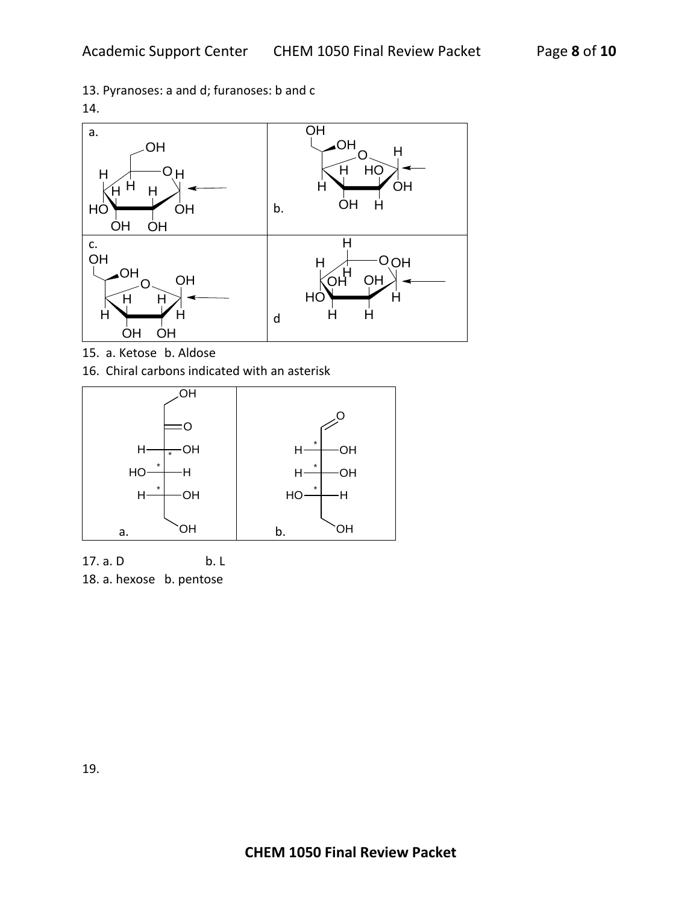13. Pyranoses: a and d; furanoses: b and c





15. a. Ketose b. Aldose

16. Chiral carbons indicated with an asterisk



17. a. D b. L 18. a. hexose b. pentose

19.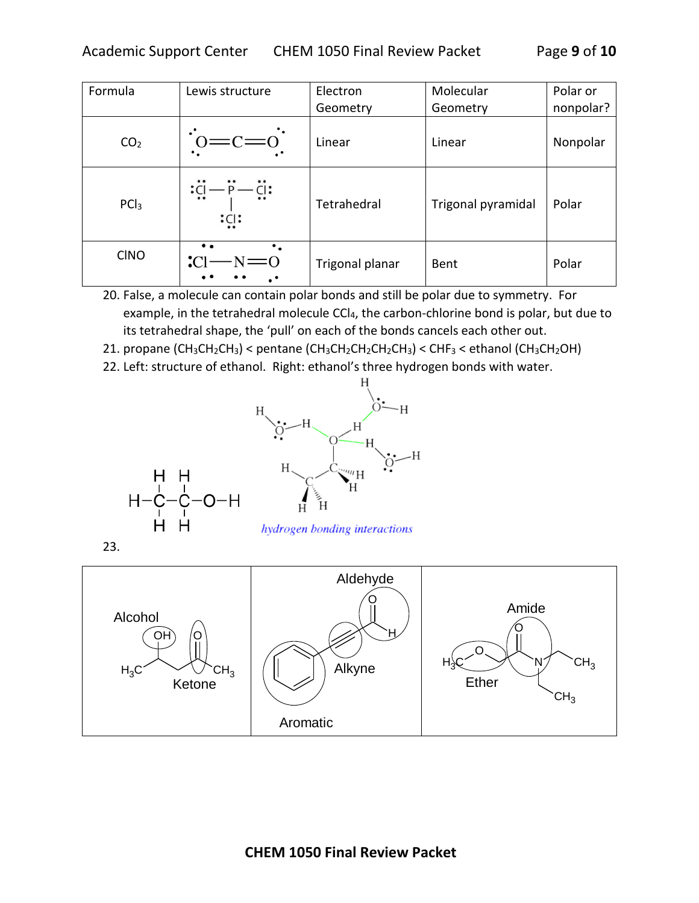| Formula          | Lewis structure                                         | Electron        | Molecular          | Polar or  |
|------------------|---------------------------------------------------------|-----------------|--------------------|-----------|
|                  |                                                         | Geometry        | Geometry           | nonpolar? |
| CO <sub>2</sub>  | $\overline{\overline{0}} = \overline{\overline{0}} = 0$ | Linear          | Linear             | Nonpolar  |
| PCl <sub>3</sub> | :Cl<br>$^{\circ}$<br>:Cl:                               | Tetrahedral     | Trigonal pyramidal | Polar     |
| <b>CINO</b>      | $\cdot$ .<br>$\cdot$ Cl                                 | Trigonal planar | Bent               | Polar     |

20. False, a molecule can contain polar bonds and still be polar due to symmetry. For example, in the tetrahedral molecule CCl<sub>4</sub>, the carbon-chlorine bond is polar, but due to its tetrahedral shape, the 'pull' on each of the bonds cancels each other out.

- 21. propane (CH<sub>3</sub>CH<sub>2</sub>CH<sub>3</sub>) < pentane (CH<sub>3</sub>CH<sub>2</sub>CH<sub>2</sub>CH<sub>2</sub>CH<sub>3</sub>) < CHF<sub>3</sub> < ethanol (CH<sub>3</sub>CH<sub>2</sub>OH)
- 22. Left: structure of ethanol. Right: ethanol's three hydrogen bonds with water.



hydrogen bonding interactions

23.

H. н

H-